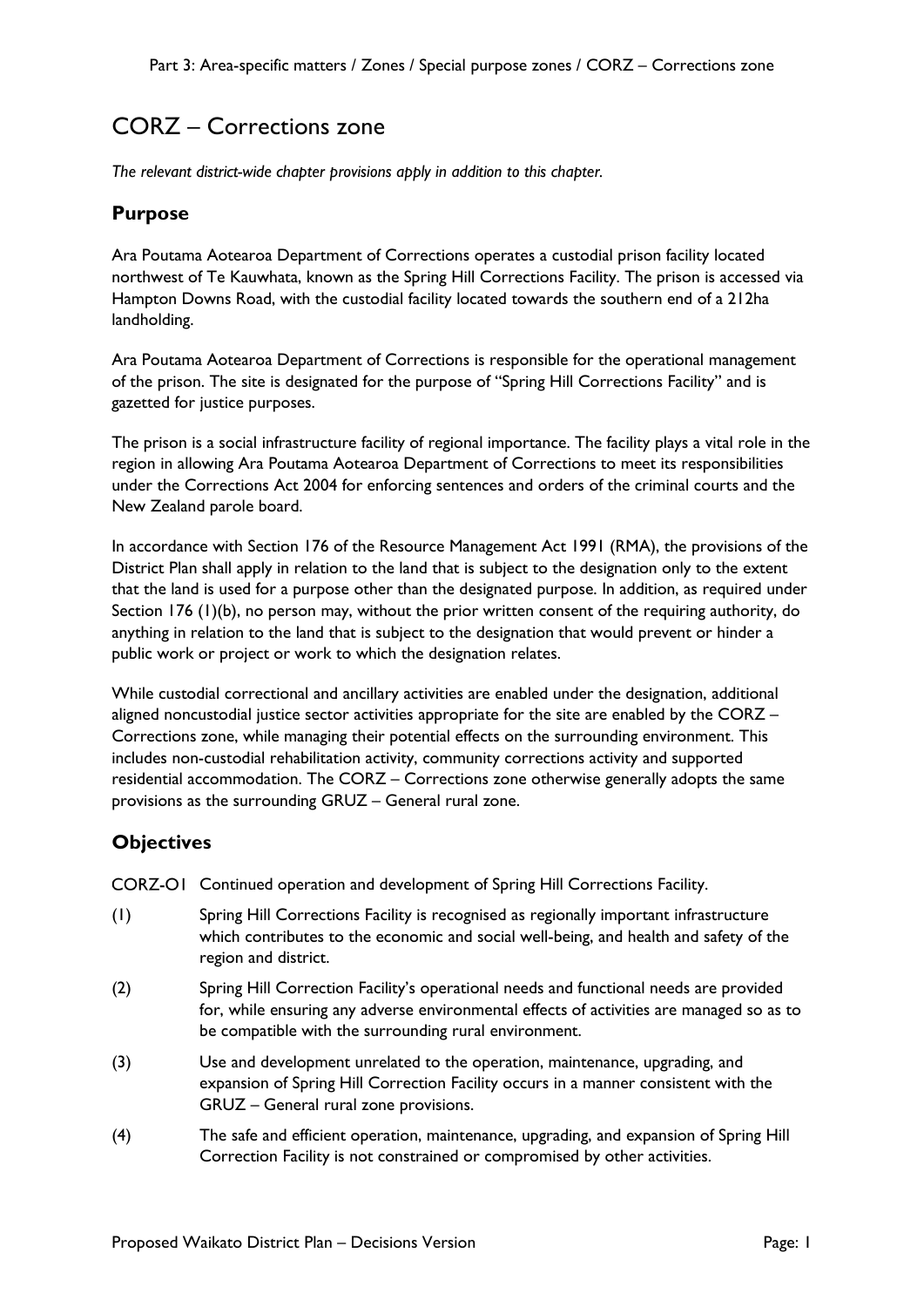# CORZ – Corrections zone

*The relevant district-wide chapter provisions apply in addition to this chapter.*

### **Purpose**

Ara Poutama Aotearoa Department of Corrections operates a custodial prison facility located northwest of Te Kauwhata, known as the Spring Hill Corrections Facility. The prison is accessed via Hampton Downs Road, with the custodial facility located towards the southern end of a 212ha landholding.

Ara Poutama Aotearoa Department of Corrections is responsible for the operational management of the prison. The site is designated for the purpose of "Spring Hill Corrections Facility" and is gazetted for justice purposes.

The prison is a social infrastructure facility of regional importance. The facility plays a vital role in the region in allowing Ara Poutama Aotearoa Department of Corrections to meet its responsibilities under the Corrections Act 2004 for enforcing sentences and orders of the criminal courts and the New Zealand parole board.

In accordance with Section 176 of the Resource Management Act 1991 (RMA), the provisions of the District Plan shall apply in relation to the land that is subject to the designation only to the extent that the land is used for a purpose other than the designated purpose. In addition, as required under Section 176 (1)(b), no person may, without the prior written consent of the requiring authority, do anything in relation to the land that is subject to the designation that would prevent or hinder a public work or project or work to which the designation relates.

While custodial correctional and ancillary activities are enabled under the designation, additional aligned noncustodial justice sector activities appropriate for the site are enabled by the CORZ – Corrections zone, while managing their potential effects on the surrounding environment. This includes non-custodial rehabilitation activity, community corrections activity and supported residential accommodation. The CORZ – Corrections zone otherwise generally adopts the same provisions as the surrounding GRUZ – General rural zone.

## **Objectives**

CORZ-OI Continued operation and development of Spring Hill Corrections Facility.

- (1) Spring Hill Corrections Facility is recognised as regionally important infrastructure which contributes to the economic and social well-being, and health and safety of the region and district.
- (2) Spring Hill Correction Facility's operational needs and functional needs are provided for, while ensuring any adverse environmental effects of activities are managed so as to be compatible with the surrounding rural environment.
- (3) Use and development unrelated to the operation, maintenance, upgrading, and expansion of Spring Hill Correction Facility occurs in a manner consistent with the GRUZ – General rural zone provisions.
- (4) The safe and efficient operation, maintenance, upgrading, and expansion of Spring Hill Correction Facility is not constrained or compromised by other activities.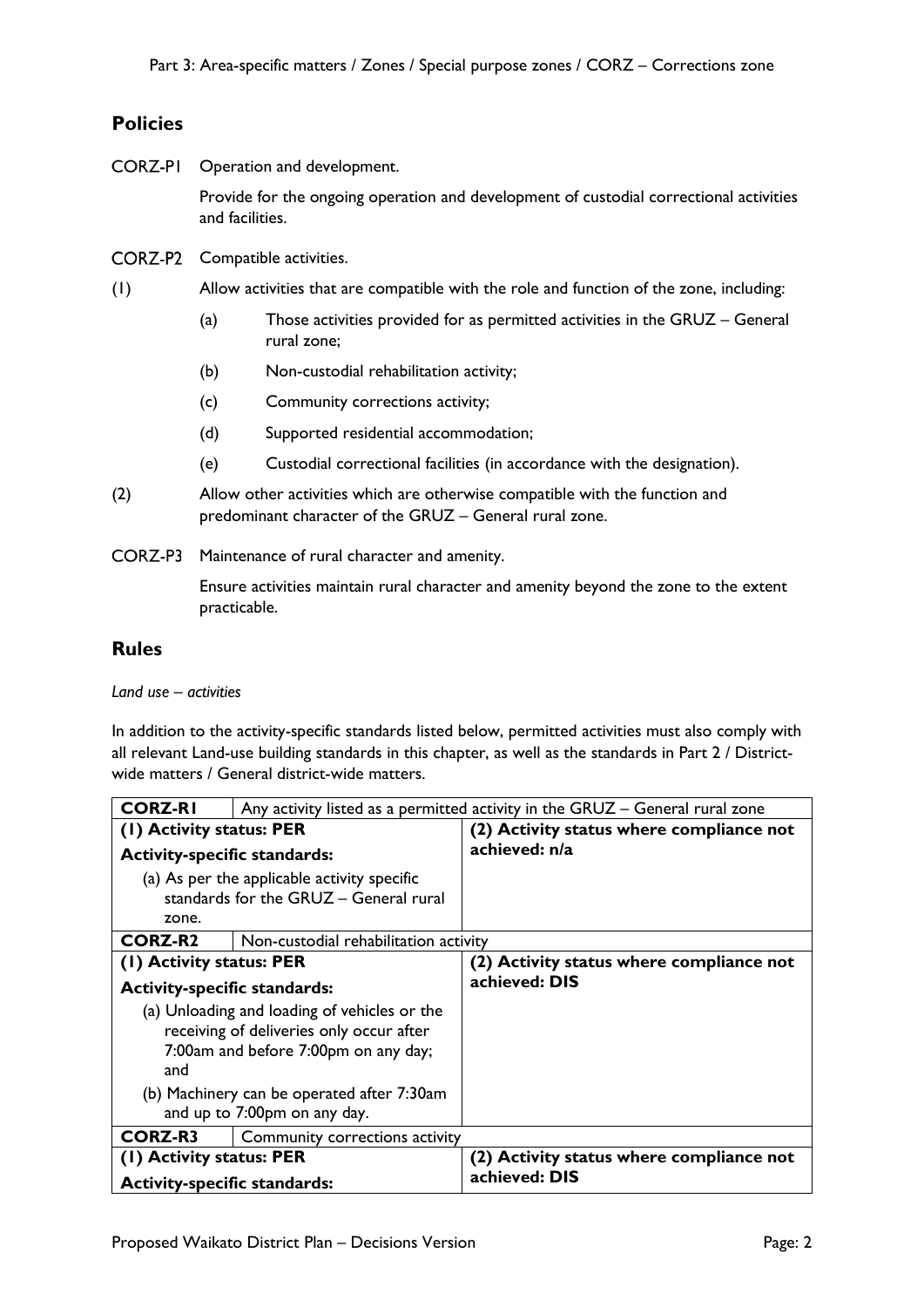## **Policies**

**CORZ-PI** Operation and development.

> Provide for the ongoing operation and development of custodial correctional activities and facilities.

- CORZ-P2 Compatible activities.
- (1) Allow activities that are compatible with the role and function of the zone, including:
	- (a) Those activities provided for as permitted activities in the GRUZ General rural zone;
	- (b) Non-custodial rehabilitation activity;
	- (c) Community corrections activity;
	- (d) Supported residential accommodation;
	- (e) Custodial correctional facilities (in accordance with the designation).
- (2) Allow other activities which are otherwise compatible with the function and predominant character of the GRUZ – General rural zone.
- CORZ-P3 Maintenance of rural character and amenity.

Ensure activities maintain rural character and amenity beyond the zone to the extent practicable.

### **Rules**

*Land use – activities*

In addition to the activity-specific standards listed below, permitted activities must also comply with all relevant Land-use building standards in this chapter, as well as the standards in Part 2 / Districtwide matters / General district-wide matters.

| <b>CORZ-RI</b>                                                                                                                          | Any activity listed as a permitted activity in the GRUZ - General rural zone |  |
|-----------------------------------------------------------------------------------------------------------------------------------------|------------------------------------------------------------------------------|--|
| (I) Activity status: PER                                                                                                                | (2) Activity status where compliance not                                     |  |
| <b>Activity-specific standards:</b>                                                                                                     | achieved: n/a                                                                |  |
| (a) As per the applicable activity specific<br>standards for the GRUZ - General rural                                                   |                                                                              |  |
| zone.                                                                                                                                   |                                                                              |  |
| <b>CORZ-R2</b><br>Non-custodial rehabilitation activity                                                                                 |                                                                              |  |
| (1) Activity status: PER                                                                                                                | (2) Activity status where compliance not                                     |  |
| <b>Activity-specific standards:</b>                                                                                                     | achieved: DIS                                                                |  |
| (a) Unloading and loading of vehicles or the<br>receiving of deliveries only occur after<br>7:00am and before 7:00pm on any day;<br>and |                                                                              |  |
| (b) Machinery can be operated after 7:30am<br>and up to 7:00pm on any day.                                                              |                                                                              |  |
| <b>CORZ-R3</b><br>Community corrections activity                                                                                        |                                                                              |  |
| (1) Activity status: PER                                                                                                                | (2) Activity status where compliance not                                     |  |
| <b>Activity-specific standards:</b>                                                                                                     | achieved: DIS                                                                |  |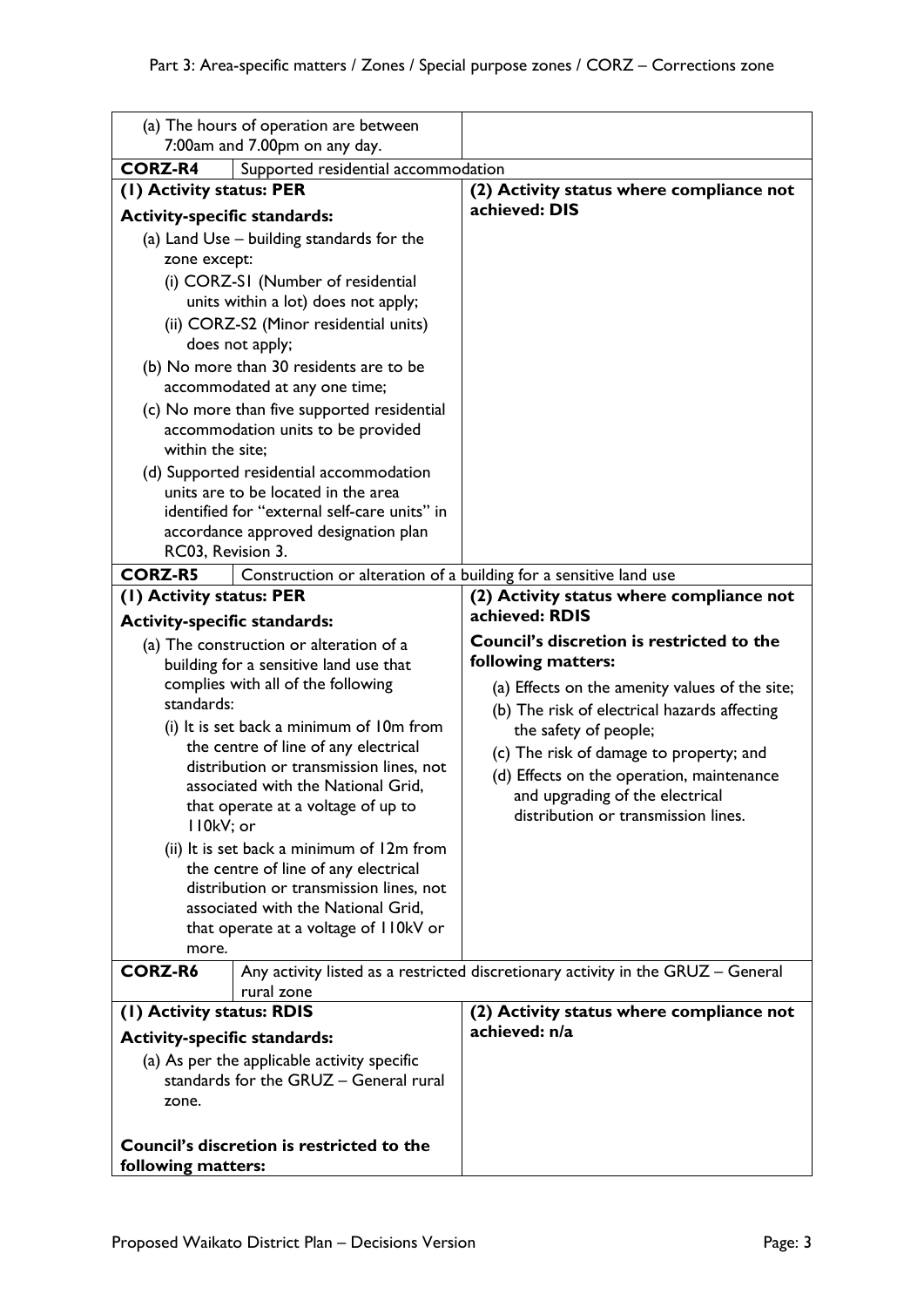|                                                                  | (a) The hours of operation are between                                            |                                                                                  |
|------------------------------------------------------------------|-----------------------------------------------------------------------------------|----------------------------------------------------------------------------------|
|                                                                  | 7:00am and 7.00pm on any day.                                                     |                                                                                  |
| <b>CORZ-R4</b>                                                   | Supported residential accommodation                                               |                                                                                  |
| (1) Activity status: PER                                         |                                                                                   | (2) Activity status where compliance not<br>achieved: DIS                        |
| <b>Activity-specific standards:</b>                              |                                                                                   |                                                                                  |
|                                                                  | (a) Land Use – building standards for the                                         |                                                                                  |
| zone except:                                                     |                                                                                   |                                                                                  |
|                                                                  | (i) CORZ-SI (Number of residential                                                |                                                                                  |
|                                                                  | units within a lot) does not apply;                                               |                                                                                  |
|                                                                  | (ii) CORZ-S2 (Minor residential units)                                            |                                                                                  |
|                                                                  | does not apply;<br>(b) No more than 30 residents are to be                        |                                                                                  |
|                                                                  | accommodated at any one time;                                                     |                                                                                  |
|                                                                  | (c) No more than five supported residential                                       |                                                                                  |
|                                                                  | accommodation units to be provided                                                |                                                                                  |
| within the site;                                                 |                                                                                   |                                                                                  |
|                                                                  | (d) Supported residential accommodation                                           |                                                                                  |
|                                                                  | units are to be located in the area                                               |                                                                                  |
|                                                                  | identified for "external self-care units" in                                      |                                                                                  |
|                                                                  | accordance approved designation plan                                              |                                                                                  |
| RC03, Revision 3.                                                |                                                                                   |                                                                                  |
| <b>CORZ-R5</b>                                                   | Construction or alteration of a building for a sensitive land use                 |                                                                                  |
| (1) Activity status: PER                                         |                                                                                   | (2) Activity status where compliance not<br>achieved: RDIS                       |
| <b>Activity-specific standards:</b>                              |                                                                                   | Council's discretion is restricted to the                                        |
|                                                                  | (a) The construction or alteration of a<br>building for a sensitive land use that | following matters:                                                               |
|                                                                  | complies with all of the following                                                | (a) Effects on the amenity values of the site;                                   |
| standards:                                                       |                                                                                   | (b) The risk of electrical hazards affecting                                     |
|                                                                  | (i) It is set back a minimum of 10m from                                          | the safety of people;                                                            |
|                                                                  | the centre of line of any electrical                                              | (c) The risk of damage to property; and                                          |
|                                                                  | distribution or transmission lines, not                                           | (d) Effects on the operation, maintenance                                        |
|                                                                  | associated with the National Grid,                                                | and upgrading of the electrical                                                  |
|                                                                  | that operate at a voltage of up to                                                | distribution or transmission lines.                                              |
| II0kV; or                                                        |                                                                                   |                                                                                  |
|                                                                  | (ii) It is set back a minimum of 12m from<br>the centre of line of any electrical |                                                                                  |
|                                                                  | distribution or transmission lines, not                                           |                                                                                  |
|                                                                  | associated with the National Grid,                                                |                                                                                  |
|                                                                  | that operate at a voltage of II0kV or                                             |                                                                                  |
| more.                                                            |                                                                                   |                                                                                  |
| <b>CORZ-R6</b>                                                   |                                                                                   | Any activity listed as a restricted discretionary activity in the GRUZ - General |
|                                                                  | rural zone                                                                        |                                                                                  |
| (I) Activity status: RDIS<br><b>Activity-specific standards:</b> |                                                                                   | (2) Activity status where compliance not<br>achieved: n/a                        |
|                                                                  | (a) As per the applicable activity specific                                       |                                                                                  |
|                                                                  | standards for the GRUZ - General rural                                            |                                                                                  |
| zone.                                                            |                                                                                   |                                                                                  |
|                                                                  |                                                                                   |                                                                                  |
|                                                                  | Council's discretion is restricted to the                                         |                                                                                  |
| following matters:                                               |                                                                                   |                                                                                  |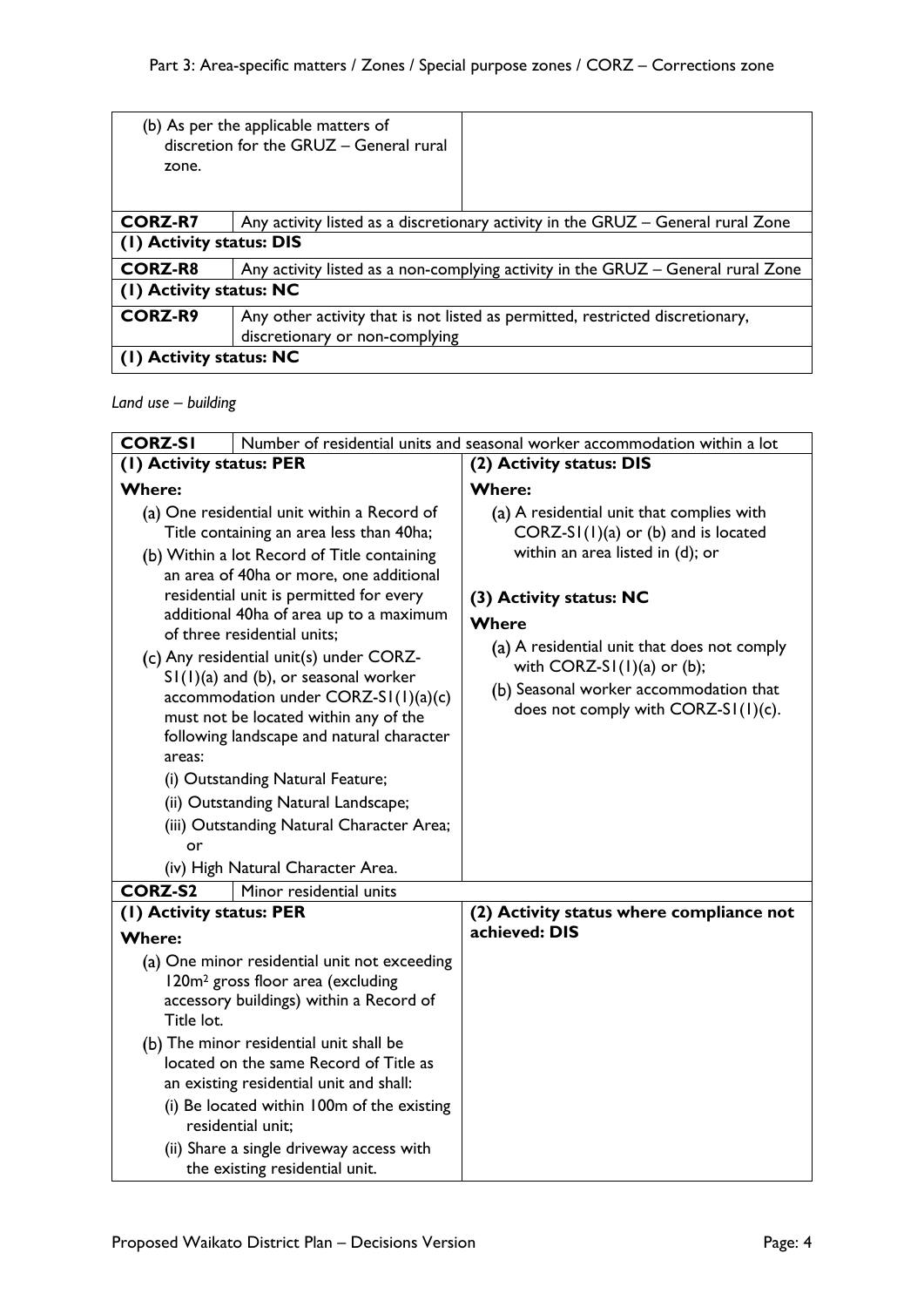| zone.                          | (b) As per the applicable matters of<br>discretion for the GRUZ - General rural  |  |
|--------------------------------|----------------------------------------------------------------------------------|--|
| <b>CORZ-R7</b>                 | Any activity listed as a discretionary activity in the GRUZ – General rural Zone |  |
| (1) Activity status: DIS       |                                                                                  |  |
| <b>CORZ-R8</b>                 | Any activity listed as a non-complying activity in the GRUZ – General rural Zone |  |
| (1) Activity status: NC        |                                                                                  |  |
| <b>CORZ-R9</b>                 | Any other activity that is not listed as permitted, restricted discretionary,    |  |
| discretionary or non-complying |                                                                                  |  |
| (1) Activity status: NC        |                                                                                  |  |

*Land use – building*

| <b>CORZ-SI</b>                                                                                                                                                                                                                                                                                                                                                                                                                                                                                                                                                                                                                                                                                           | Number of residential units and seasonal worker accommodation within a lot                                                                                                                                                                                                                                                 |
|----------------------------------------------------------------------------------------------------------------------------------------------------------------------------------------------------------------------------------------------------------------------------------------------------------------------------------------------------------------------------------------------------------------------------------------------------------------------------------------------------------------------------------------------------------------------------------------------------------------------------------------------------------------------------------------------------------|----------------------------------------------------------------------------------------------------------------------------------------------------------------------------------------------------------------------------------------------------------------------------------------------------------------------------|
| (1) Activity status: PER                                                                                                                                                                                                                                                                                                                                                                                                                                                                                                                                                                                                                                                                                 | (2) Activity status: DIS                                                                                                                                                                                                                                                                                                   |
| <b>Where:</b>                                                                                                                                                                                                                                                                                                                                                                                                                                                                                                                                                                                                                                                                                            | <b>Where:</b>                                                                                                                                                                                                                                                                                                              |
| (a) One residential unit within a Record of<br>Title containing an area less than 40ha;<br>(b) Within a lot Record of Title containing<br>an area of 40ha or more, one additional<br>residential unit is permitted for every<br>additional 40ha of area up to a maximum<br>of three residential units:<br>(c) Any residential unit(s) under CORZ-<br>$S1(1)(a)$ and (b), or seasonal worker<br>accommodation under $CORZ-SI(1)(a)(c)$<br>must not be located within any of the<br>following landscape and natural character<br>areas:<br>(i) Outstanding Natural Feature;<br>(ii) Outstanding Natural Landscape;<br>(iii) Outstanding Natural Character Area;<br>or<br>(iv) High Natural Character Area. | (a) A residential unit that complies with<br>$CORZ-SI(1)(a)$ or (b) and is located<br>within an area listed in (d); or<br>(3) Activity status: NC<br>Where<br>(a) A residential unit that does not comply<br>with $CORZ-SI(1)(a)$ or (b);<br>(b) Seasonal worker accommodation that<br>does not comply with CORZ-SI(I)(c). |
| <b>CORZ-S2</b><br>Minor residential units                                                                                                                                                                                                                                                                                                                                                                                                                                                                                                                                                                                                                                                                |                                                                                                                                                                                                                                                                                                                            |
| (1) Activity status: PER                                                                                                                                                                                                                                                                                                                                                                                                                                                                                                                                                                                                                                                                                 | (2) Activity status where compliance not                                                                                                                                                                                                                                                                                   |
| <b>Where:</b>                                                                                                                                                                                                                                                                                                                                                                                                                                                                                                                                                                                                                                                                                            | achieved: DIS                                                                                                                                                                                                                                                                                                              |
| (a) One minor residential unit not exceeding<br>120m <sup>2</sup> gross floor area (excluding<br>accessory buildings) within a Record of<br>Title lot.                                                                                                                                                                                                                                                                                                                                                                                                                                                                                                                                                   |                                                                                                                                                                                                                                                                                                                            |
| (b) The minor residential unit shall be<br>located on the same Record of Title as<br>an existing residential unit and shall:<br>(i) Be located within 100m of the existing<br>residential unit:                                                                                                                                                                                                                                                                                                                                                                                                                                                                                                          |                                                                                                                                                                                                                                                                                                                            |
| (ii) Share a single driveway access with<br>the existing residential unit.                                                                                                                                                                                                                                                                                                                                                                                                                                                                                                                                                                                                                               |                                                                                                                                                                                                                                                                                                                            |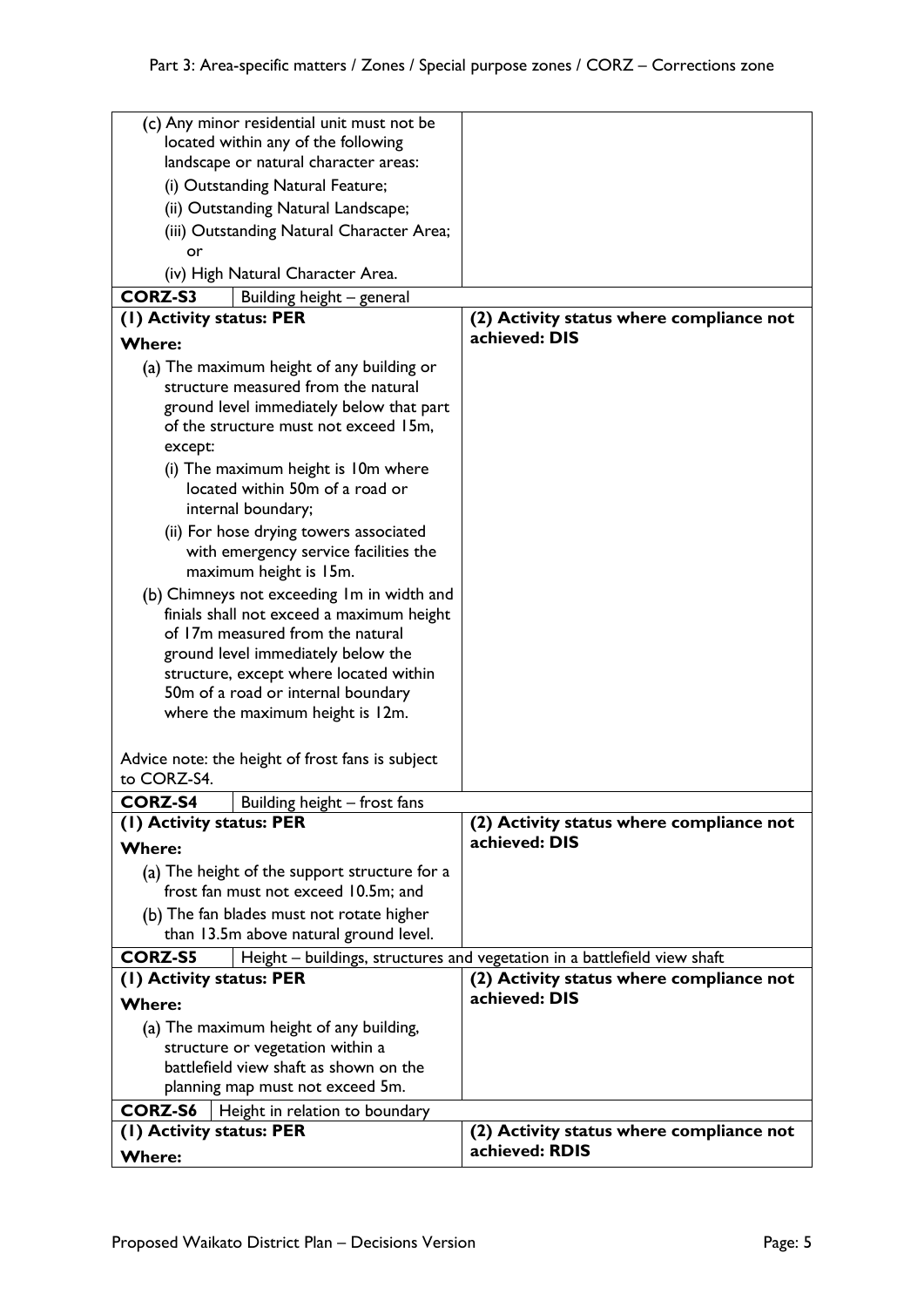|                          | (c) Any minor residential unit must not be       |                                                                           |
|--------------------------|--------------------------------------------------|---------------------------------------------------------------------------|
|                          | located within any of the following              |                                                                           |
|                          | landscape or natural character areas:            |                                                                           |
|                          | (i) Outstanding Natural Feature;                 |                                                                           |
|                          | (ii) Outstanding Natural Landscape;              |                                                                           |
|                          | (iii) Outstanding Natural Character Area;        |                                                                           |
| or                       |                                                  |                                                                           |
|                          | (iv) High Natural Character Area.                |                                                                           |
| <b>CORZ-S3</b>           | Building height - general                        |                                                                           |
| (1) Activity status: PER |                                                  | (2) Activity status where compliance not                                  |
|                          |                                                  | achieved: DIS                                                             |
| <b>Where:</b>            |                                                  |                                                                           |
|                          | (a) The maximum height of any building or        |                                                                           |
|                          | structure measured from the natural              |                                                                           |
|                          | ground level immediately below that part         |                                                                           |
|                          | of the structure must not exceed 15m,            |                                                                           |
| except:                  |                                                  |                                                                           |
|                          | (i) The maximum height is 10m where              |                                                                           |
|                          | located within 50m of a road or                  |                                                                           |
|                          | internal boundary;                               |                                                                           |
|                          | (ii) For hose drying towers associated           |                                                                           |
|                          | with emergency service facilities the            |                                                                           |
|                          | maximum height is 15m.                           |                                                                           |
|                          | (b) Chimneys not exceeding Im in width and       |                                                                           |
|                          | finials shall not exceed a maximum height        |                                                                           |
|                          | of 17m measured from the natural                 |                                                                           |
|                          | ground level immediately below the               |                                                                           |
|                          | structure, except where located within           |                                                                           |
|                          | 50m of a road or internal boundary               |                                                                           |
|                          | where the maximum height is 12m.                 |                                                                           |
|                          |                                                  |                                                                           |
|                          | Advice note: the height of frost fans is subject |                                                                           |
| to CORZ-S4.              |                                                  |                                                                           |
| <b>CORZ-S4</b>           | Building height - frost fans                     |                                                                           |
| (1) Activity status: PER |                                                  | (2) Activity status where compliance not                                  |
| <b>Where:</b>            |                                                  | achieved: DIS                                                             |
|                          | (a) The height of the support structure for a    |                                                                           |
|                          | frost fan must not exceed 10.5m; and             |                                                                           |
|                          | (b) The fan blades must not rotate higher        |                                                                           |
|                          | than 13.5m above natural ground level.           |                                                                           |
| <b>CORZ-S5</b>           |                                                  | Height - buildings, structures and vegetation in a battlefield view shaft |
| (1) Activity status: PER |                                                  | (2) Activity status where compliance not                                  |
|                          |                                                  | achieved: DIS                                                             |
| <b>Where:</b>            |                                                  |                                                                           |
|                          | (a) The maximum height of any building,          |                                                                           |
|                          | structure or vegetation within a                 |                                                                           |
|                          | battlefield view shaft as shown on the           |                                                                           |
|                          | planning map must not exceed 5m.                 |                                                                           |
| <b>CORZ-S6</b>           | Height in relation to boundary                   |                                                                           |
| (1) Activity status: PER |                                                  | (2) Activity status where compliance not                                  |
| <b>Where:</b>            |                                                  | achieved: RDIS                                                            |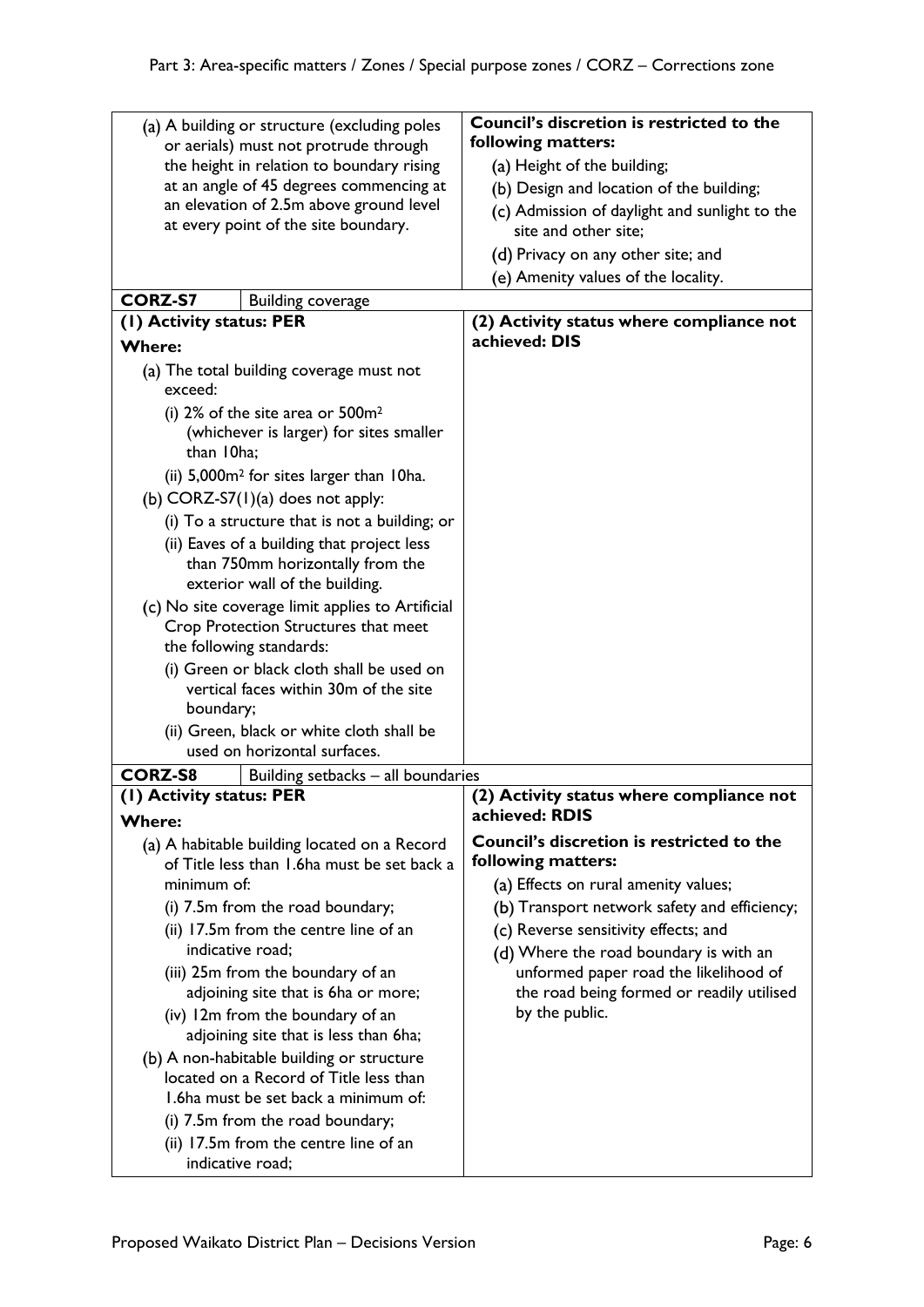| (a) A building or structure (excluding poles<br>or aerials) must not protrude through<br>the height in relation to boundary rising<br>at an angle of 45 degrees commencing at | Council's discretion is restricted to the<br>following matters:<br>(a) Height of the building;<br>(b) Design and location of the building; |
|-------------------------------------------------------------------------------------------------------------------------------------------------------------------------------|--------------------------------------------------------------------------------------------------------------------------------------------|
| an elevation of 2.5m above ground level<br>at every point of the site boundary.                                                                                               | (c) Admission of daylight and sunlight to the<br>site and other site;<br>(d) Privacy on any other site; and                                |
|                                                                                                                                                                               | (e) Amenity values of the locality.                                                                                                        |
| <b>CORZ-S7</b><br><b>Building coverage</b>                                                                                                                                    |                                                                                                                                            |
| (I) Activity status: PER                                                                                                                                                      | (2) Activity status where compliance not                                                                                                   |
| <b>Where:</b>                                                                                                                                                                 | achieved: DIS                                                                                                                              |
| (a) The total building coverage must not<br>exceed:                                                                                                                           |                                                                                                                                            |
| (i) $2\%$ of the site area or $500m^2$                                                                                                                                        |                                                                                                                                            |
| (whichever is larger) for sites smaller<br>than 10ha:                                                                                                                         |                                                                                                                                            |
| (ii) 5,000m <sup>2</sup> for sites larger than 10ha.                                                                                                                          |                                                                                                                                            |
| (b) $CORZ-S7(1)(a)$ does not apply:                                                                                                                                           |                                                                                                                                            |
| (i) To a structure that is not a building; or                                                                                                                                 |                                                                                                                                            |
| (ii) Eaves of a building that project less                                                                                                                                    |                                                                                                                                            |
| than 750mm horizontally from the<br>exterior wall of the building.                                                                                                            |                                                                                                                                            |
| (c) No site coverage limit applies to Artificial<br>Crop Protection Structures that meet<br>the following standards:                                                          |                                                                                                                                            |
| (i) Green or black cloth shall be used on                                                                                                                                     |                                                                                                                                            |
| vertical faces within 30m of the site<br>boundary;                                                                                                                            |                                                                                                                                            |
| (ii) Green, black or white cloth shall be                                                                                                                                     |                                                                                                                                            |
| used on horizontal surfaces.                                                                                                                                                  |                                                                                                                                            |
| <b>CORZ-S8</b><br>Building setbacks - all boundaries                                                                                                                          |                                                                                                                                            |
| (1) Activity status: PER                                                                                                                                                      | (2) Activity status where compliance not                                                                                                   |
| <b>Where:</b>                                                                                                                                                                 | achieved: RDIS                                                                                                                             |
| (a) A habitable building located on a Record<br>of Title less than 1.6ha must be set back a                                                                                   | Council's discretion is restricted to the<br>following matters:                                                                            |
| minimum of:                                                                                                                                                                   | (a) Effects on rural amenity values;                                                                                                       |
| (i) 7.5m from the road boundary;                                                                                                                                              | (b) Transport network safety and efficiency;                                                                                               |
| (ii) 17.5m from the centre line of an                                                                                                                                         | (c) Reverse sensitivity effects; and                                                                                                       |
| indicative road;                                                                                                                                                              | (d) Where the road boundary is with an                                                                                                     |
| (iii) 25m from the boundary of an                                                                                                                                             | unformed paper road the likelihood of                                                                                                      |
| adjoining site that is 6ha or more;                                                                                                                                           | the road being formed or readily utilised<br>by the public.                                                                                |
| (iv) 12m from the boundary of an<br>adjoining site that is less than 6ha;                                                                                                     |                                                                                                                                            |
| (b) A non-habitable building or structure<br>located on a Record of Title less than                                                                                           |                                                                                                                                            |
| 1.6ha must be set back a minimum of:                                                                                                                                          |                                                                                                                                            |
| (i) 7.5m from the road boundary;                                                                                                                                              |                                                                                                                                            |
| (ii) 17.5m from the centre line of an                                                                                                                                         |                                                                                                                                            |
| indicative road;                                                                                                                                                              |                                                                                                                                            |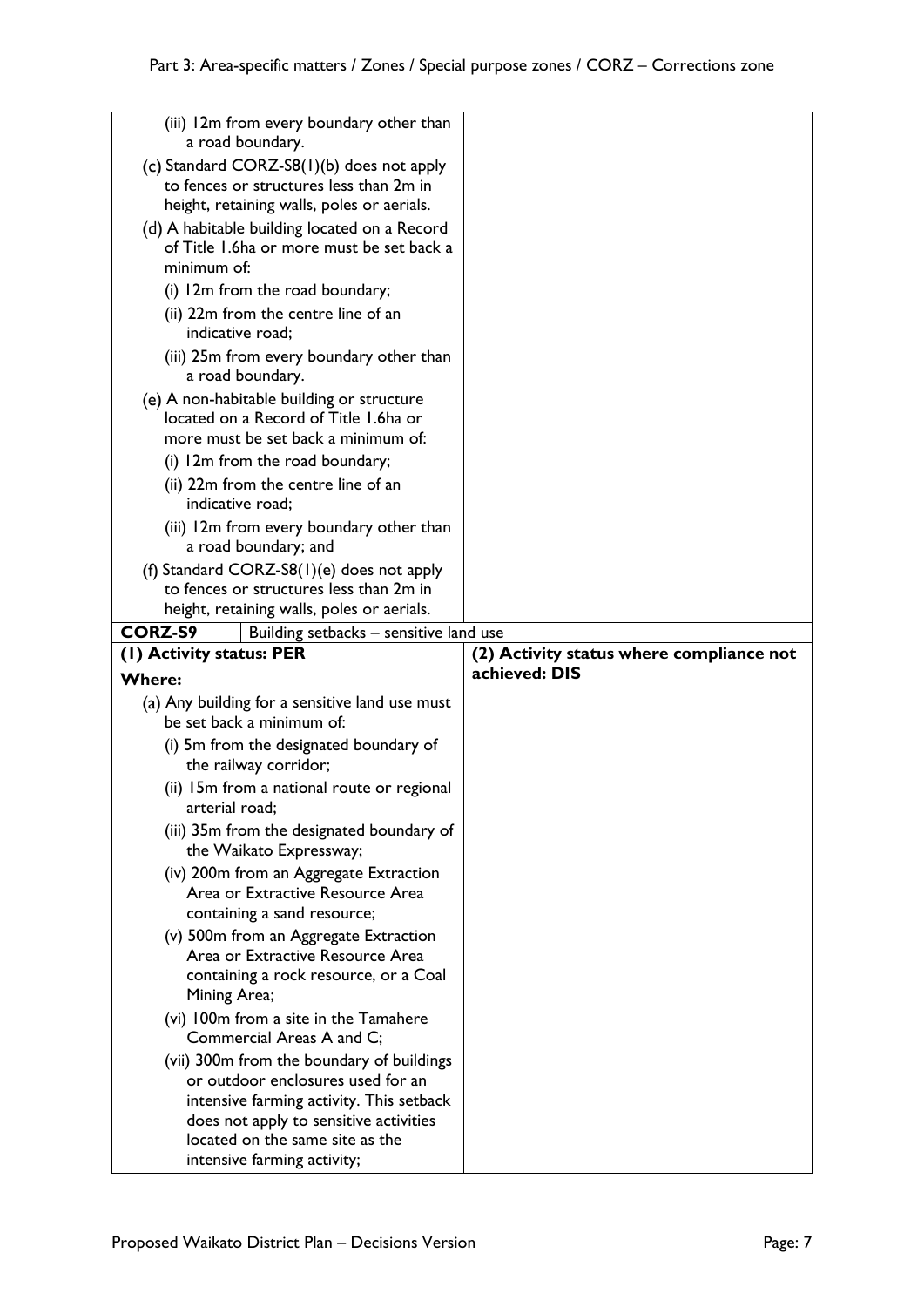| (iii) 12m from every boundary other than<br>a road boundary.         |                                          |
|----------------------------------------------------------------------|------------------------------------------|
| (c) Standard CORZ-S8(1)(b) does not apply                            |                                          |
| to fences or structures less than 2m in                              |                                          |
| height, retaining walls, poles or aerials.                           |                                          |
| (d) A habitable building located on a Record                         |                                          |
| of Title 1.6ha or more must be set back a                            |                                          |
| minimum of:                                                          |                                          |
| (i) 12m from the road boundary;                                      |                                          |
| (ii) 22m from the centre line of an<br>indicative road;              |                                          |
| (iii) 25m from every boundary other than<br>a road boundary.         |                                          |
| (e) A non-habitable building or structure                            |                                          |
| located on a Record of Title 1.6ha or                                |                                          |
| more must be set back a minimum of:                                  |                                          |
| (i) 12m from the road boundary;                                      |                                          |
| (ii) 22m from the centre line of an                                  |                                          |
| indicative road;                                                     |                                          |
| (iii) 12m from every boundary other than<br>a road boundary; and     |                                          |
| (f) Standard CORZ-S8 $(I)(e)$ does not apply                         |                                          |
| to fences or structures less than 2m in                              |                                          |
| height, retaining walls, poles or aerials.                           |                                          |
| <b>CORZ-S9</b><br>Building setbacks - sensitive land use             |                                          |
|                                                                      |                                          |
| (1) Activity status: PER                                             | (2) Activity status where compliance not |
| <b>Where:</b>                                                        | achieved: DIS                            |
| (a) Any building for a sensitive land use must                       |                                          |
| be set back a minimum of:                                            |                                          |
| (i) 5m from the designated boundary of                               |                                          |
| the railway corridor;                                                |                                          |
| (ii) 15m from a national route or regional                           |                                          |
| arterial road;                                                       |                                          |
| (iii) 35m from the designated boundary of<br>the Waikato Expressway; |                                          |
| (iv) 200m from an Aggregate Extraction                               |                                          |
| Area or Extractive Resource Area                                     |                                          |
| containing a sand resource;                                          |                                          |
| (v) 500m from an Aggregate Extraction                                |                                          |
| Area or Extractive Resource Area                                     |                                          |
| containing a rock resource, or a Coal<br>Mining Area;                |                                          |
| (vi) 100m from a site in the Tamahere                                |                                          |
| Commercial Areas A and C;                                            |                                          |
| (vii) 300m from the boundary of buildings                            |                                          |
| or outdoor enclosures used for an                                    |                                          |
| intensive farming activity. This setback                             |                                          |
| does not apply to sensitive activities                               |                                          |
| located on the same site as the<br>intensive farming activity;       |                                          |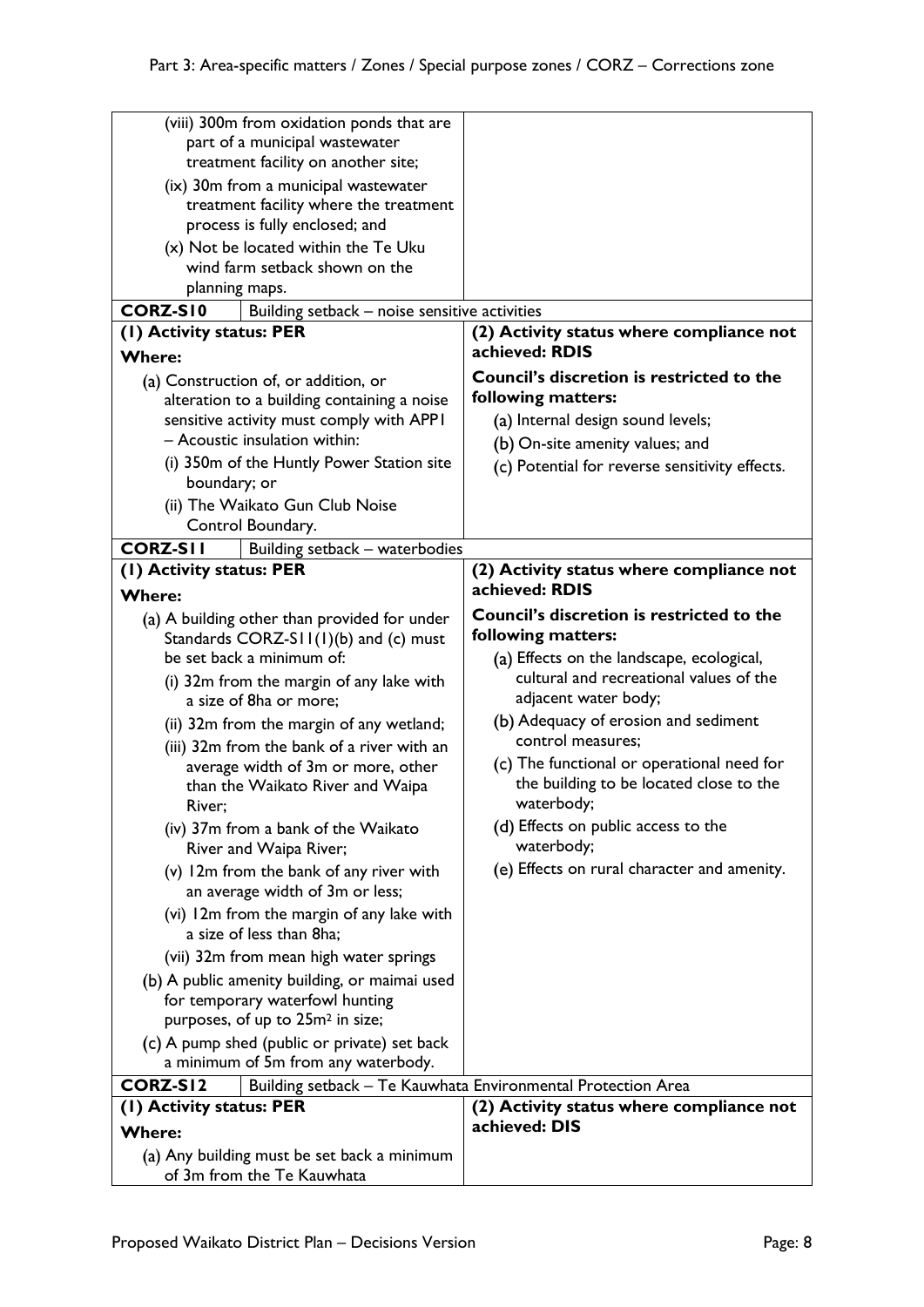| (viii) 300m from oxidation ponds that are<br>part of a municipal wastewater<br>treatment facility on another site;                                                                                                                                                                                                                                                                                                                                                                                                                                                                                                                                                                                                                                                                                                                                                  |                                                                                                                                                                                                                                                                                                                                                                                                                                                                |
|---------------------------------------------------------------------------------------------------------------------------------------------------------------------------------------------------------------------------------------------------------------------------------------------------------------------------------------------------------------------------------------------------------------------------------------------------------------------------------------------------------------------------------------------------------------------------------------------------------------------------------------------------------------------------------------------------------------------------------------------------------------------------------------------------------------------------------------------------------------------|----------------------------------------------------------------------------------------------------------------------------------------------------------------------------------------------------------------------------------------------------------------------------------------------------------------------------------------------------------------------------------------------------------------------------------------------------------------|
| (ix) 30m from a municipal wastewater                                                                                                                                                                                                                                                                                                                                                                                                                                                                                                                                                                                                                                                                                                                                                                                                                                |                                                                                                                                                                                                                                                                                                                                                                                                                                                                |
| treatment facility where the treatment                                                                                                                                                                                                                                                                                                                                                                                                                                                                                                                                                                                                                                                                                                                                                                                                                              |                                                                                                                                                                                                                                                                                                                                                                                                                                                                |
| process is fully enclosed; and                                                                                                                                                                                                                                                                                                                                                                                                                                                                                                                                                                                                                                                                                                                                                                                                                                      |                                                                                                                                                                                                                                                                                                                                                                                                                                                                |
| (x) Not be located within the Te Uku                                                                                                                                                                                                                                                                                                                                                                                                                                                                                                                                                                                                                                                                                                                                                                                                                                |                                                                                                                                                                                                                                                                                                                                                                                                                                                                |
| wind farm setback shown on the                                                                                                                                                                                                                                                                                                                                                                                                                                                                                                                                                                                                                                                                                                                                                                                                                                      |                                                                                                                                                                                                                                                                                                                                                                                                                                                                |
| planning maps.                                                                                                                                                                                                                                                                                                                                                                                                                                                                                                                                                                                                                                                                                                                                                                                                                                                      |                                                                                                                                                                                                                                                                                                                                                                                                                                                                |
| <b>CORZ-SI0</b><br>Building setback - noise sensitive activities                                                                                                                                                                                                                                                                                                                                                                                                                                                                                                                                                                                                                                                                                                                                                                                                    |                                                                                                                                                                                                                                                                                                                                                                                                                                                                |
| (1) Activity status: PER                                                                                                                                                                                                                                                                                                                                                                                                                                                                                                                                                                                                                                                                                                                                                                                                                                            | (2) Activity status where compliance not<br>achieved: RDIS                                                                                                                                                                                                                                                                                                                                                                                                     |
| <b>Where:</b>                                                                                                                                                                                                                                                                                                                                                                                                                                                                                                                                                                                                                                                                                                                                                                                                                                                       | Council's discretion is restricted to the                                                                                                                                                                                                                                                                                                                                                                                                                      |
| (a) Construction of, or addition, or                                                                                                                                                                                                                                                                                                                                                                                                                                                                                                                                                                                                                                                                                                                                                                                                                                | following matters:                                                                                                                                                                                                                                                                                                                                                                                                                                             |
| alteration to a building containing a noise                                                                                                                                                                                                                                                                                                                                                                                                                                                                                                                                                                                                                                                                                                                                                                                                                         |                                                                                                                                                                                                                                                                                                                                                                                                                                                                |
| sensitive activity must comply with APPI<br>- Acoustic insulation within:                                                                                                                                                                                                                                                                                                                                                                                                                                                                                                                                                                                                                                                                                                                                                                                           | (a) Internal design sound levels;                                                                                                                                                                                                                                                                                                                                                                                                                              |
|                                                                                                                                                                                                                                                                                                                                                                                                                                                                                                                                                                                                                                                                                                                                                                                                                                                                     | (b) On-site amenity values; and                                                                                                                                                                                                                                                                                                                                                                                                                                |
| (i) 350m of the Huntly Power Station site<br>boundary; or                                                                                                                                                                                                                                                                                                                                                                                                                                                                                                                                                                                                                                                                                                                                                                                                           | (c) Potential for reverse sensitivity effects.                                                                                                                                                                                                                                                                                                                                                                                                                 |
|                                                                                                                                                                                                                                                                                                                                                                                                                                                                                                                                                                                                                                                                                                                                                                                                                                                                     |                                                                                                                                                                                                                                                                                                                                                                                                                                                                |
| (ii) The Waikato Gun Club Noise<br>Control Boundary.                                                                                                                                                                                                                                                                                                                                                                                                                                                                                                                                                                                                                                                                                                                                                                                                                |                                                                                                                                                                                                                                                                                                                                                                                                                                                                |
| <b>CORZ-SII</b>                                                                                                                                                                                                                                                                                                                                                                                                                                                                                                                                                                                                                                                                                                                                                                                                                                                     |                                                                                                                                                                                                                                                                                                                                                                                                                                                                |
| Building setback - waterbodies                                                                                                                                                                                                                                                                                                                                                                                                                                                                                                                                                                                                                                                                                                                                                                                                                                      |                                                                                                                                                                                                                                                                                                                                                                                                                                                                |
| (1) Activity status: PER<br><b>Where:</b>                                                                                                                                                                                                                                                                                                                                                                                                                                                                                                                                                                                                                                                                                                                                                                                                                           | (2) Activity status where compliance not<br>achieved: RDIS                                                                                                                                                                                                                                                                                                                                                                                                     |
| (a) A building other than provided for under<br>Standards CORZ-S11(1)(b) and (c) must<br>be set back a minimum of:<br>(i) 32m from the margin of any lake with<br>a size of 8ha or more;<br>(ii) 32m from the margin of any wetland;<br>(iii) 32m from the bank of a river with an<br>average width of 3m or more, other<br>than the Waikato River and Waipa<br>River;<br>(iv) 37m from a bank of the Waikato<br>River and Waipa River;<br>(v) 12m from the bank of any river with<br>an average width of 3m or less;<br>(vi) 12m from the margin of any lake with<br>a size of less than 8ha;<br>(vii) 32m from mean high water springs<br>(b) A public amenity building, or maimai used<br>for temporary waterfowl hunting<br>purposes, of up to 25m <sup>2</sup> in size;<br>(c) A pump shed (public or private) set back<br>a minimum of 5m from any waterbody. | <b>Council's discretion is restricted to the</b><br>following matters:<br>(a) Effects on the landscape, ecological,<br>cultural and recreational values of the<br>adjacent water body;<br>(b) Adequacy of erosion and sediment<br>control measures;<br>(c) The functional or operational need for<br>the building to be located close to the<br>waterbody;<br>(d) Effects on public access to the<br>waterbody;<br>(e) Effects on rural character and amenity. |
| <b>CORZ-SI2</b>                                                                                                                                                                                                                                                                                                                                                                                                                                                                                                                                                                                                                                                                                                                                                                                                                                                     | Building setback - Te Kauwhata Environmental Protection Area                                                                                                                                                                                                                                                                                                                                                                                                   |
| (1) Activity status: PER                                                                                                                                                                                                                                                                                                                                                                                                                                                                                                                                                                                                                                                                                                                                                                                                                                            | (2) Activity status where compliance not                                                                                                                                                                                                                                                                                                                                                                                                                       |
|                                                                                                                                                                                                                                                                                                                                                                                                                                                                                                                                                                                                                                                                                                                                                                                                                                                                     |                                                                                                                                                                                                                                                                                                                                                                                                                                                                |
| <b>Where:</b>                                                                                                                                                                                                                                                                                                                                                                                                                                                                                                                                                                                                                                                                                                                                                                                                                                                       | achieved: DIS                                                                                                                                                                                                                                                                                                                                                                                                                                                  |